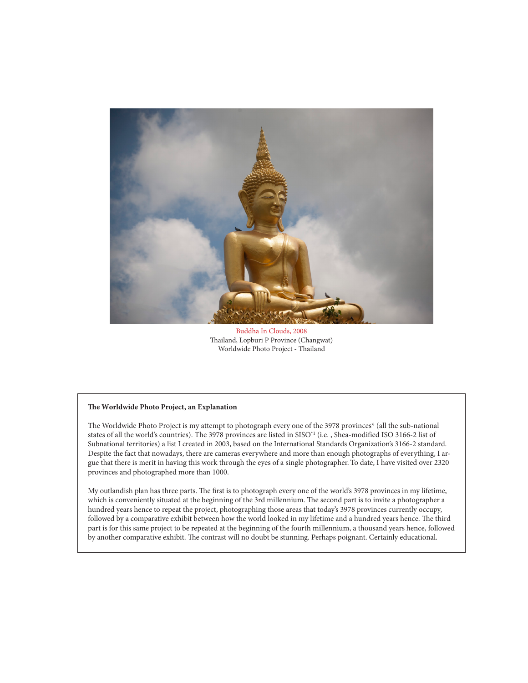

Buddha In Clouds, 2008 Thailand, Lopburi P Province (Changwat) Worldwide Photo Project - Thailand

## **The Worldwide Photo Project, an Explanation**

The Worldwide Photo Project is my attempt to photograph every one of the 3978 provinces\* (all the sub-national states of all the world's countries). The 3978 provinces are listed in SISO\*1 (i.e. , Shea-modified ISO 3166-2 list of Subnational territories) a list I created in 2003, based on the International Standards Organization's 3166-2 standard. Despite the fact that nowadays, there are cameras everywhere and more than enough photographs of everything, I argue that there is merit in having this work through the eyes of a single photographer. To date, I have visited over 2320 provinces and photographed more than 1000.

My outlandish plan has three parts. The first is to photograph every one of the world's 3978 provinces in my lifetime, which is conveniently situated at the beginning of the 3rd millennium. The second part is to invite a photographer a hundred years hence to repeat the project, photographing those areas that today's 3978 provinces currently occupy, followed by a comparative exhibit between how the world looked in my lifetime and a hundred years hence. The third part is for this same project to be repeated at the beginning of the fourth millennium, a thousand years hence, followed by another comparative exhibit. The contrast will no doubt be stunning. Perhaps poignant. Certainly educational.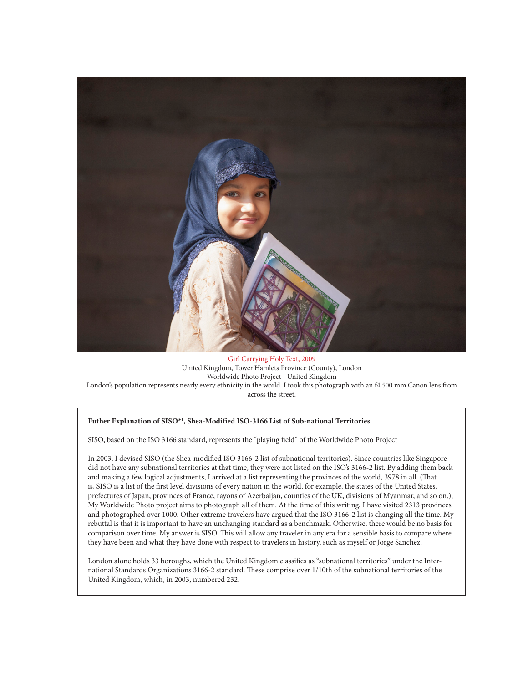

Girl Carrying Holy Text, 2009 United Kingdom, Tower Hamlets Province (County), London Worldwide Photo Project - United Kingdom London's population represents nearly every ethnicity in the world. I took this photograph with an f4 500 mm Canon lens from across the street.

## **Futher Explanation of SISO\***<sup>1</sup> **, Shea-Modified ISO-3166 List of Sub-national Territories**

SISO, based on the ISO 3166 standard, represents the "playing field" of the Worldwide Photo Project

In 2003, I devised SISO (the Shea-modified ISO 3166-2 list of subnational territories). Since countries like Singapore did not have any subnational territories at that time, they were not listed on the ISO's 3166-2 list. By adding them back and making a few logical adjustments, I arrived at a list representing the provinces of the world, 3978 in all. (That is, SISO is a list of the first level divisions of every nation in the world, for example, the states of the United States, prefectures of Japan, provinces of France, rayons of Azerbaijan, counties of the UK, divisions of Myanmar, and so on.), My Worldwide Photo project aims to photograph all of them. At the time of this writing, I have visited 2313 provinces and photographed over 1000. Other extreme travelers have argued that the ISO 3166-2 list is changing all the time. My rebuttal is that it is important to have an unchanging standard as a benchmark. Otherwise, there would be no basis for comparison over time. My answer is SISO. This will allow any traveler in any era for a sensible basis to compare where they have been and what they have done with respect to travelers in history, such as myself or Jorge Sanchez.

London alone holds 33 boroughs, which the United Kingdom classifies as "subnational territories" under the International Standards Organizations 3166-2 standard. These comprise over 1/10th of the subnational territories of the United Kingdom, which, in 2003, numbered 232.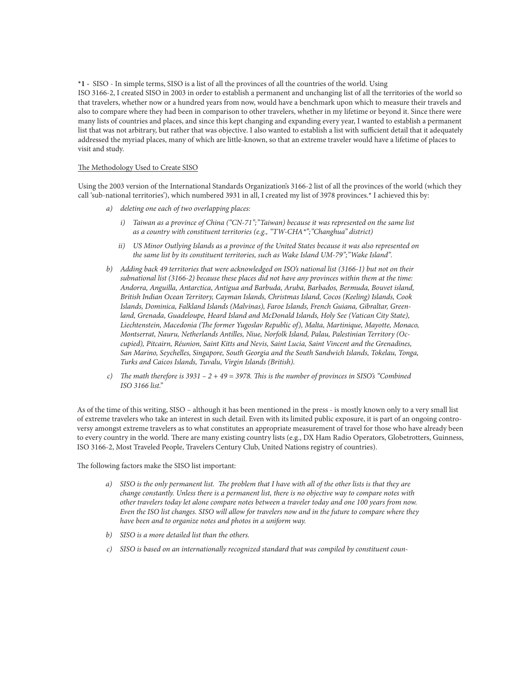**\*1 -** SISO - In simple terms, SISO is a list of all the provinces of all the countries of the world. Using ISO 3166-2, I created SISO in 2003 in order to establish a permanent and unchanging list of all the territories of the world so that travelers, whether now or a hundred years from now, would have a benchmark upon which to measure their travels and also to compare where they had been in comparison to other travelers, whether in my lifetime or beyond it. Since there were many lists of countries and places, and since this kept changing and expanding every year, I wanted to establish a permanent list that was not arbitrary, but rather that was objective. I also wanted to establish a list with sufficient detail that it adequately addressed the myriad places, many of which are little-known, so that an extreme traveler would have a lifetime of places to visit and study.

## The Methodology Used to Create SISO

Using the 2003 version of the International Standards Organization's 3166-2 list of all the provinces of the world (which they call 'sub-national territories'), which numbered 3931 in all, I created my list of 3978 provinces.\* I achieved this by:

- *a) deleting one each of two overlapping places:*
	- *i) Taiwan as a province of China ("CN-71";"Taiwan) because it was represented on the same list as a country with constituent territories (e.g., "TW-CHA\*";"Changhua" district)*
	- *ii) US Minor Outlying Islands as a province of the United States because it was also represented on the same list by its constituent territories, such as Wake Island UM-79";"Wake Island".*
- *b) Adding back 49 territories that were acknowledged on ISO's national list (3166-1) but not on their subnational list (3166-2) because these places did not have any provinces within them at the time: Andorra, Anguilla, Antarctica, Antigua and Barbuda, Aruba, Barbados, Bermuda, Bouvet island, British Indian Ocean Territory, Cayman Islands, Christmas Island, Cocos (Keeling) Islands, Cook Islands, Dominica, Falkland Islands (Malvinas), Faroe Islands, French Guiana, Gibraltar, Greenland, Grenada, Guadeloupe, Heard Island and McDonald Islands, Holy See (Vatican City State), Liechtenstein, Macedonia (The former Yugoslav Republic of), Malta, Martinique, Mayotte, Monaco, Montserrat, Nauru, Netherlands Antilles, Niue, Norfolk Island, Palau, Palestinian Territory (Occupied), Pitcairn, Réunion, Saint Kitts and Nevis, Saint Lucia, Saint Vincent and the Grenadines, San Marino, Seychelles, Singapore, South Georgia and the South Sandwich Islands, Tokelau, Tonga, Turks and Caicos Islands, Tuvalu, Virgin Islands (British).*
- *c) The math therefore is 3931 2 + 49 = 3978. This is the number of provinces in SISO's "Combined ISO 3166 list."*

As of the time of this writing, SISO – although it has been mentioned in the press - is mostly known only to a very small list of extreme travelers who take an interest in such detail. Even with its limited public exposure, it is part of an ongoing controversy amongst extreme travelers as to what constitutes an appropriate measurement of travel for those who have already been to every country in the world. There are many existing country lists (e.g., DX Ham Radio Operators, Globetrotters, Guinness, ISO 3166-2, Most Traveled People, Travelers Century Club, United Nations registry of countries).

The following factors make the SISO list important:

- *a) SISO is the only permanent list. The problem that I have with all of the other lists is that they are change constantly. Unless there is a permanent list, there is no objective way to compare notes with other travelers today let alone compare notes between a traveler today and one 100 years from now. Even the ISO list changes. SISO will allow for travelers now and in the future to compare where they have been and to organize notes and photos in a uniform way.*
- *b) SISO is a more detailed list than the others.*
- *c) SISO is based on an internationally recognized standard that was compiled by constituent coun-*